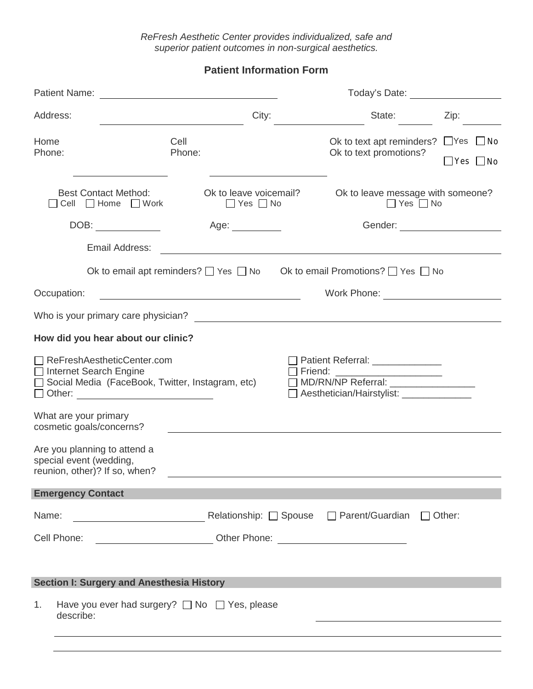ReFresh Aesthetic Center provides individualized, safe and superior patient outcomes in non-surgical aesthetics.

**Patient Information Form**

| Patient Name:                                                                                                                                                                                              |                                                 |  | Today's Date: The Contract of the Contract of the Contract of the Contract of the Contract of the Contract of the Contract of the Contract of the Contract of the Contract of the Contract of the Contract of the Contract of |                                                                                                                      |  |  |
|------------------------------------------------------------------------------------------------------------------------------------------------------------------------------------------------------------|-------------------------------------------------|--|-------------------------------------------------------------------------------------------------------------------------------------------------------------------------------------------------------------------------------|----------------------------------------------------------------------------------------------------------------------|--|--|
| Address:                                                                                                                                                                                                   | City:                                           |  | State:                                                                                                                                                                                                                        | Zip:                                                                                                                 |  |  |
| Home<br>Phone:                                                                                                                                                                                             | Cell<br>Phone:                                  |  | Ok to text apt reminders?<br>Ok to text promotions?                                                                                                                                                                           | $\Box$ Yes $\Box$ No<br>$\Box$ Yes $\Box$ No                                                                         |  |  |
| <b>Best Contact Method:</b><br>□ Cell □ Home □ Work                                                                                                                                                        | Ok to leave voicemail?<br>$\Box$ Yes $\Box$ No  |  | Ok to leave message with someone?<br>$\Box$ Yes $\Box$ No                                                                                                                                                                     |                                                                                                                      |  |  |
| DOB:                                                                                                                                                                                                       | Age: ___________                                |  |                                                                                                                                                                                                                               |                                                                                                                      |  |  |
| Email Address:                                                                                                                                                                                             |                                                 |  |                                                                                                                                                                                                                               |                                                                                                                      |  |  |
|                                                                                                                                                                                                            |                                                 |  | Ok to email apt reminders? $\Box$ Yes $\Box$ No Ok to email Promotions? $\Box$ Yes $\Box$ No                                                                                                                                  |                                                                                                                      |  |  |
| Occupation:                                                                                                                                                                                                |                                                 |  | Work Phone:                                                                                                                                                                                                                   | <u> 1986 - Jan Samuel Barbara, politik eta politik eta politik eta politik eta politik eta politik eta politik e</u> |  |  |
| Who is your primary care physician?<br><u> University</u> care the state of the state of the state of the state of the state of the state of the state of the                                              |                                                 |  |                                                                                                                                                                                                                               |                                                                                                                      |  |  |
| How did you hear about our clinic?                                                                                                                                                                         |                                                 |  |                                                                                                                                                                                                                               |                                                                                                                      |  |  |
| ReFreshAestheticCenter.com<br>□ Internet Search Engine<br>□ Social Media (FaceBook, Twitter, Instagram, etc)<br>□ Other: <u>_____________________</u><br>What are your primary<br>cosmetic goals/concerns? |                                                 |  | Patient Referral: ______________<br>Aesthetician/Hairstylist: ______________                                                                                                                                                  |                                                                                                                      |  |  |
| Are you planning to attend a<br>special event (wedding,<br>reunion, other)? If so, when?                                                                                                                   |                                                 |  |                                                                                                                                                                                                                               |                                                                                                                      |  |  |
| <b>Emergency Contact</b>                                                                                                                                                                                   |                                                 |  |                                                                                                                                                                                                                               |                                                                                                                      |  |  |
| Name:                                                                                                                                                                                                      | <b>Nelationship:</b> D Spouse D Parent/Guardian |  |                                                                                                                                                                                                                               | $\Box$ Other:                                                                                                        |  |  |
| Cell Phone:                                                                                                                                                                                                |                                                 |  |                                                                                                                                                                                                                               |                                                                                                                      |  |  |
| <b>Section I: Surgery and Anesthesia History</b>                                                                                                                                                           |                                                 |  |                                                                                                                                                                                                                               |                                                                                                                      |  |  |
| Have you ever had surgery? $\Box$ No $\Box$ Yes, please<br>1 <sub>1</sub><br>describe:                                                                                                                     |                                                 |  |                                                                                                                                                                                                                               |                                                                                                                      |  |  |
|                                                                                                                                                                                                            |                                                 |  |                                                                                                                                                                                                                               |                                                                                                                      |  |  |
|                                                                                                                                                                                                            |                                                 |  |                                                                                                                                                                                                                               |                                                                                                                      |  |  |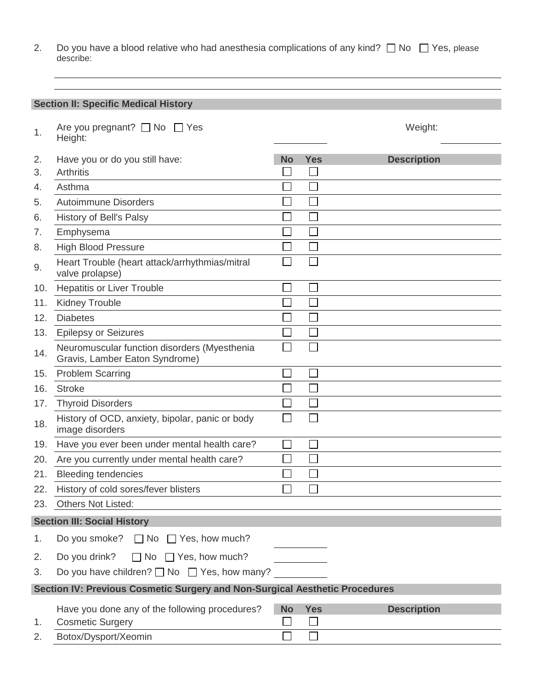2. Do you have a blood relative who had anesthesia complications of any kind?  $\Box$  No  $\Box$  Yes, please describe:

**Section II: Specific Medical History**

| 1.                                                                          | Are you pregnant? $\Box$ No $\Box$ Yes<br>Height:                              |           |            | Weight:            |  |
|-----------------------------------------------------------------------------|--------------------------------------------------------------------------------|-----------|------------|--------------------|--|
| 2.                                                                          | Have you or do you still have:                                                 | No        | <b>Yes</b> | <b>Description</b> |  |
| 3.                                                                          | <b>Arthritis</b>                                                               |           |            |                    |  |
| 4.                                                                          | Asthma                                                                         |           |            |                    |  |
| 5.                                                                          | <b>Autoimmune Disorders</b>                                                    |           |            |                    |  |
| 6.                                                                          | <b>History of Bell's Palsy</b>                                                 |           |            |                    |  |
| 7.                                                                          | Emphysema                                                                      |           |            |                    |  |
| 8.                                                                          | <b>High Blood Pressure</b>                                                     |           |            |                    |  |
| 9.                                                                          | Heart Trouble (heart attack/arrhythmias/mitral<br>valve prolapse)              |           |            |                    |  |
| 10.                                                                         | <b>Hepatitis or Liver Trouble</b>                                              |           |            |                    |  |
| 11.                                                                         | <b>Kidney Trouble</b>                                                          |           |            |                    |  |
| 12.                                                                         | <b>Diabetes</b>                                                                |           |            |                    |  |
| 13.                                                                         | <b>Epilepsy or Seizures</b>                                                    |           |            |                    |  |
| 14.                                                                         | Neuromuscular function disorders (Myesthenia<br>Gravis, Lamber Eaton Syndrome) |           |            |                    |  |
| 15.                                                                         | <b>Problem Scarring</b>                                                        |           |            |                    |  |
| 16.                                                                         | <b>Stroke</b>                                                                  |           |            |                    |  |
| 17.                                                                         | <b>Thyroid Disorders</b>                                                       |           |            |                    |  |
| 18.                                                                         | History of OCD, anxiety, bipolar, panic or body<br>image disorders             |           |            |                    |  |
| 19.                                                                         | Have you ever been under mental health care?                                   |           |            |                    |  |
| 20.                                                                         | Are you currently under mental health care?                                    |           |            |                    |  |
| 21.                                                                         | <b>Bleeding tendencies</b>                                                     |           |            |                    |  |
| 22.                                                                         | History of cold sores/fever blisters                                           |           |            |                    |  |
| 23.                                                                         | Others Not Listed:                                                             |           |            |                    |  |
|                                                                             | <b>Section III: Social History</b>                                             |           |            |                    |  |
| 1.                                                                          | Do you smoke? $\Box$ No $\Box$ Yes, how much?                                  |           |            |                    |  |
| 2.                                                                          | Do you drink?<br>$\Box$ No $\Box$ Yes, how much?                               |           |            |                    |  |
| 3.                                                                          | Do you have children? $\Box$ No $\Box$ Yes, how many?                          |           |            |                    |  |
| Section IV: Previous Cosmetic Surgery and Non-Surgical Aesthetic Procedures |                                                                                |           |            |                    |  |
|                                                                             | Have you done any of the following procedures?                                 | <b>No</b> | <b>Yes</b> | <b>Description</b> |  |
| 1.                                                                          | <b>Cosmetic Surgery</b>                                                        | $\Box$    | $\Box$     |                    |  |
| 2.                                                                          | Botox/Dysport/Xeomin                                                           |           | $\Box$     |                    |  |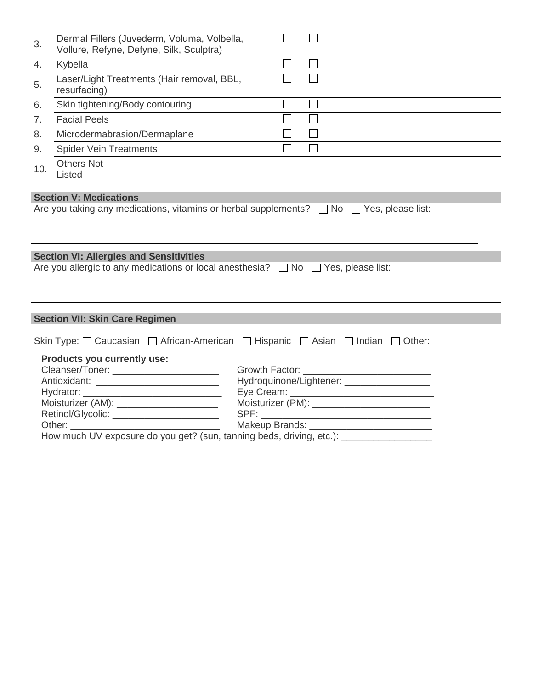| 3.  | Dermal Fillers (Juvederm, Voluma, Volbella,<br>Vollure, Refyne, Defyne, Silk, Sculptra)                                                                                                                                                      |                   |        |                                                                                                                                              |  |
|-----|----------------------------------------------------------------------------------------------------------------------------------------------------------------------------------------------------------------------------------------------|-------------------|--------|----------------------------------------------------------------------------------------------------------------------------------------------|--|
| 4.  | Kybella                                                                                                                                                                                                                                      | П                 | $\Box$ |                                                                                                                                              |  |
| 5.  | Laser/Light Treatments (Hair removal, BBL,<br>resurfacing)                                                                                                                                                                                   | $\mathsf{L}$      | $\Box$ |                                                                                                                                              |  |
| 6.  | Skin tightening/Body contouring                                                                                                                                                                                                              | $\Box$            | $\Box$ |                                                                                                                                              |  |
| 7.  | <b>Facial Peels</b>                                                                                                                                                                                                                          | $\Box$            | $\Box$ |                                                                                                                                              |  |
| 8.  | Microdermabrasion/Dermaplane                                                                                                                                                                                                                 | $\vert \ \ \vert$ | $\Box$ |                                                                                                                                              |  |
| 9.  | <b>Spider Vein Treatments</b>                                                                                                                                                                                                                | П                 | $\Box$ |                                                                                                                                              |  |
| 10. | <b>Others Not</b><br>Listed                                                                                                                                                                                                                  |                   |        |                                                                                                                                              |  |
|     |                                                                                                                                                                                                                                              |                   |        |                                                                                                                                              |  |
|     | <b>Section VI: Allergies and Sensitivities</b>                                                                                                                                                                                               |                   |        |                                                                                                                                              |  |
|     | Are you allergic to any medications or local anesthesia? □ No □ Yes, please list:                                                                                                                                                            |                   |        |                                                                                                                                              |  |
|     |                                                                                                                                                                                                                                              |                   |        |                                                                                                                                              |  |
|     | <b>Section VII: Skin Care Regimen</b>                                                                                                                                                                                                        |                   |        |                                                                                                                                              |  |
|     | Skin Type: □ Caucasian □ African-American □ Hispanic □ Asian □ Indian □ Other:                                                                                                                                                               |                   |        |                                                                                                                                              |  |
|     | Products you currently use:<br>Cleanser/Toner: _________________________<br>Moisturizer (AM): ______________________<br>Retinol/Glycolic: _______________________<br>How much UV exposure do you get? (sun, tanning beds, driving, etc.): __ |                   |        | Hydroquinone/Lightener: ___________________<br>Moisturizer (PM): ___________________________<br>Makeup Brands: _____________________________ |  |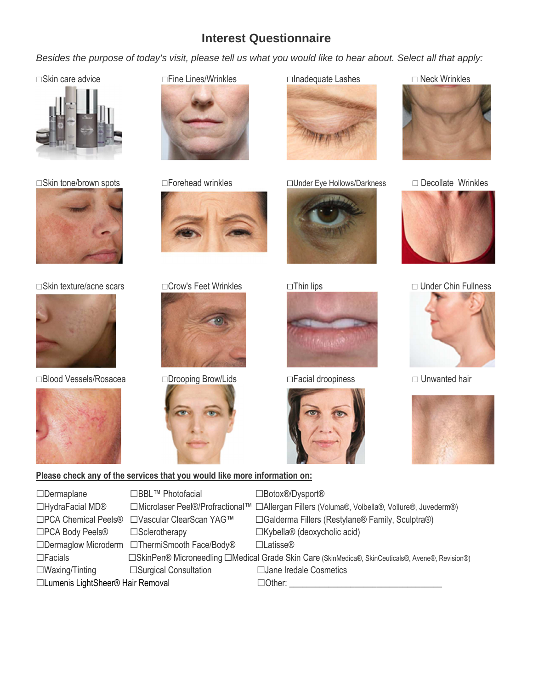## **Interest Questionnaire**

Besides the purpose of today's visit, please tell us what you would like to hear about. Select all that apply:



☐Skin tone/brown spots ☐Forehead wrinkles ☐Under Eye Hollows/Darkness ☐ Decollate Wrinkles





☐Blood Vessels/Rosacea ☐Drooping Brow/Lids ☐Facial droopiness ☐ Unwanted hair





















### ☐Skin texture/acne scars ☐Crow's Feet Wrinkles ☐Thin lips ☐ Under Chin Fullness





#### **Please check any of the services that you would like more information on:**

| $\Box$ Dermaplane                 | □BBL™ Photofacial                             | □Botox <sup>®</sup> /Dysport <sup>®</sup>                                                         |
|-----------------------------------|-----------------------------------------------|---------------------------------------------------------------------------------------------------|
| □HydraFacial MD®                  |                                               | □Microlaser Peel®/Profractional™ □Allergan Fillers (Voluma®, Volbella®, Vollure®, Juvederm®)      |
| □PCA Chemical Peels <sup>®</sup>  | □Vascular ClearScan YAG™                      | □ Galderma Fillers (Restylane <sup>®</sup> Family, Sculptra <sup>®</sup> )                        |
| □PCA Body Peels <sup>®</sup>      | $\square$ Sclerotherapy                       | □Kybella <sup>®</sup> (deoxycholic acid)                                                          |
|                                   | □Dermaglow Microderm □ThermiSmooth Face/Body® | $\Box$ Latisse®                                                                                   |
| $\Box$ Facials                    |                                               | □SkinPen® Microneedling □Medical Grade Skin Care (SkinMedica®, SkinCeuticals®, Avene®, Revision®) |
| $\square$ Waxing/Tinting          | □Surgical Consultation                        | □ Jane Iredale Cosmetics                                                                          |
| □Lumenis LightSheer® Hair Removal |                                               | $\Box$ Other:                                                                                     |
|                                   |                                               |                                                                                                   |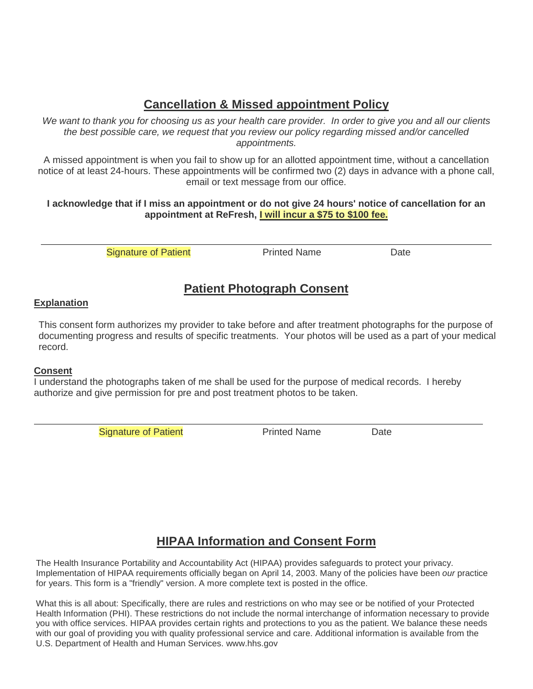# **Cancellation & Missed appointment Policy**

We want to thank you for choosing us as your health care provider. In order to give you and all our clients the best possible care, we request that you review our policy regarding missed and/or cancelled appointments.

A missed appointment is when you fail to show up for an allotted appointment time, without a cancellation notice of at least 24-hours. These appointments will be confirmed two (2) days in advance with a phone call, email or text message from our office.

#### **I acknowledge that if I miss an appointment or do not give 24 hours' notice of cancellation for an appointment at ReFresh, I will incur a \$75 to \$100 fee.**

Signature of Patient **Printed Name** Printed Name

## **Patient Photograph Consent**

### **Explanation**

This consent form authorizes my provider to take before and after treatment photographs for the purpose of documenting progress and results of specific treatments. Your photos will be used as a part of your medical record.

#### **Consent**

I understand the photographs taken of me shall be used for the purpose of medical records. I hereby authorize and give permission for pre and post treatment photos to be taken.

Signature of Patient **Printed Name** Date

# **HIPAA Information and Consent Form**

The Health Insurance Portability and Accountability Act (HIPAA) provides safeguards to protect your privacy. Implementation of HIPAA requirements officially began on April 14, 2003. Many of the policies have been our practice for years. This form is a "friendly" version. A more complete text is posted in the office.

What this is all about: Specifically, there are rules and restrictions on who may see or be notified of your Protected Health Information (PHI). These restrictions do not include the normal interchange of information necessary to provide you with office services. HIPAA provides certain rights and protections to you as the patient. We balance these needs with our goal of providing you with quality professional service and care. Additional information is available from the U.S. Department of Health and Human Services. www.hhs.gov